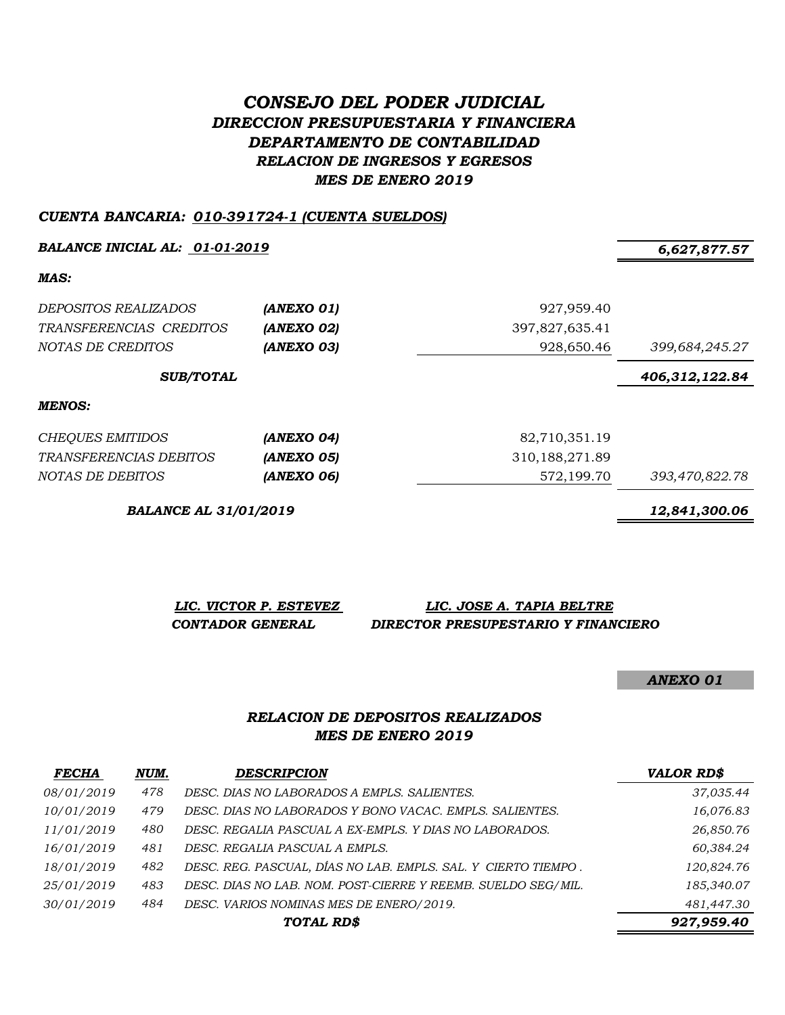# *CONSEJO DEL PODER JUDICIAL DIRECCION PRESUPUESTARIA Y FINANCIERA DEPARTAMENTO DE CONTABILIDAD RELACION DE INGRESOS Y EGRESOS MES DE ENERO 2019*

#### *CUENTA BANCARIA: 010-391724-1 (CUENTA SUELDOS)*

| <b>BALANCE INICIAL AL: 01-01-2019</b> |            |                | 6,627,877.57   |
|---------------------------------------|------------|----------------|----------------|
| MAS:                                  |            |                |                |
| <i>DEPOSITOS REALIZADOS</i>           | (ANEXO 01) | 927,959.40     |                |
| TRANSFERENCIAS CREDITOS               | (ANEXO 02) | 397,827,635.41 |                |
| NOTAS DE CREDITOS                     | (ANEXO 03) | 928,650.46     | 399,684,245.27 |
| <b>SUB/TOTAL</b>                      |            |                | 406,312,122.84 |
| <b>MENOS:</b>                         |            |                |                |
| <b>CHEQUES EMITIDOS</b>               | (ANEXO 04) | 82,710,351.19  |                |
| <i>TRANSFERENCIAS DEBITOS</i>         | (ANEXO 05) | 310,188,271.89 |                |
| NOTAS DE DEBITOS                      | (ANEXO 06) | 572,199.70     | 393,470,822.78 |
| <b>BALANCE AL 31/01/2019</b>          |            |                | 12,841,300.06  |

*LIC. VICTOR P. ESTEVEZ LIC. JOSE A. TAPIA BELTRE CONTADOR GENERAL DIRECTOR PRESUPESTARIO Y FINANCIERO*

*ANEXO 01*

### *RELACION DE DEPOSITOS REALIZADOS MES DE ENERO 2019*

| <b>FECHA</b> | NUM. | <b>DESCRIPCION</b>                                            | <b>VALOR RD\$</b> |
|--------------|------|---------------------------------------------------------------|-------------------|
| 08/01/2019   | 478  | DESC. DIAS NO LABORADOS A EMPLS. SALIENTES.                   | 37,035.44         |
| 10/01/2019   | 479  | DESC. DIAS NO LABORADOS Y BONO VACAC. EMPLS. SALIENTES.       | 16,076.83         |
| 11/01/2019   | 480  | DESC. REGALIA PASCUAL A EX-EMPLS. Y DIAS NO LABORADOS.        | 26,850.76         |
| 16/01/2019   | 481  | DESC. REGALIA PASCUAL A EMPLS.                                | 60,384.24         |
| 18/01/2019   | 482  | DESC. REG. PASCUAL, DÍAS NO LAB. EMPLS. SAL. Y CIERTO TIEMPO. | 120,824.76        |
| 25/01/2019   | 483  | DESC. DIAS NO LAB. NOM. POST-CIERRE Y REEMB. SUELDO SEG/MIL.  | 185,340.07        |
| 30/01/2019   | 484  | DESC. VARIOS NOMINAS MES DE ENERO/2019.                       | 481,447.30        |
|              |      | TOTAL RD\$                                                    | 927,959.40        |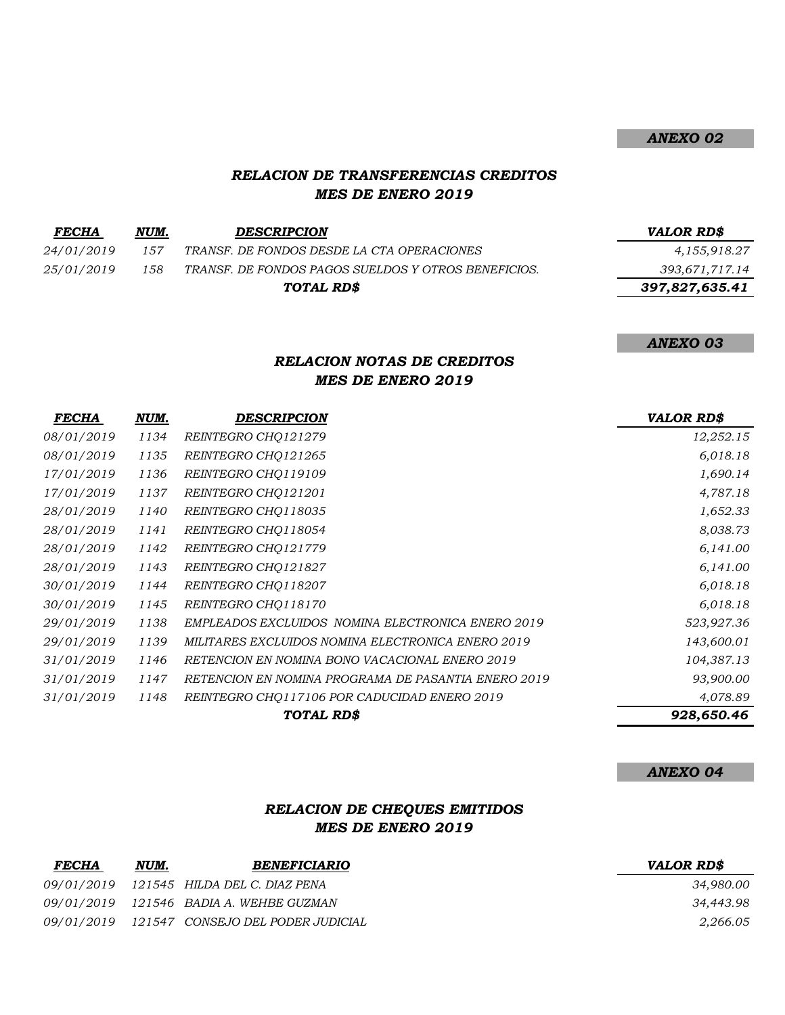### *ANEXO 02*

### *RELACION DE TRANSFERENCIAS CREDITOS MES DE ENERO 2019*

| <b>FECHA</b> | NUM. | <b>DESCRIPCION</b>                                  | VALOR RD\$     |
|--------------|------|-----------------------------------------------------|----------------|
| 24/01/2019   | 157  | TRANSF. DE FONDOS DESDE LA CTA OPERACIONES          | 4,155,918.27   |
| 25/01/2019   | 158  | TRANSF. DE FONDOS PAGOS SUELDOS Y OTROS BENEFICIOS. | 393,671,717.14 |
|              |      | TOTAL RD\$                                          | 397,827,635.41 |

#### *ANEXO 03*

## *RELACION NOTAS DE CREDITOS MES DE ENERO 2019*

| <b>FECHA</b> | NUM. | <b>DESCRIPCION</b>                                  | <b>VALOR RD\$</b> |
|--------------|------|-----------------------------------------------------|-------------------|
| 08/01/2019   | 1134 | REINTEGRO CHO121279                                 | 12,252.15         |
| 08/01/2019   | 1135 | REINTEGRO CHO121265                                 | 6,018.18          |
| 17/01/2019   | 1136 | REINTEGRO CHO119109                                 | 1,690.14          |
| 17/01/2019   | 1137 | REINTEGRO CHO121201                                 | 4,787.18          |
| 28/01/2019   | 1140 | REINTEGRO CHO118035                                 | 1,652.33          |
| 28/01/2019   | 1141 | REINTEGRO CHO118054                                 | 8,038.73          |
| 28/01/2019   | 1142 | REINTEGRO CHQ121779                                 | 6,141.00          |
| 28/01/2019   | 1143 | REINTEGRO CHO121827                                 | 6,141.00          |
| 30/01/2019   | 1144 | REINTEGRO CHQ118207                                 | 6,018.18          |
| 30/01/2019   | 1145 | REINTEGRO CHO118170                                 | 6,018.18          |
| 29/01/2019   | 1138 | EMPLEADOS EXCLUIDOS NOMINA ELECTRONICA ENERO 2019   | 523,927.36        |
| 29/01/2019   | 1139 | MILITARES EXCLUIDOS NOMINA ELECTRONICA ENERO 2019   | 143,600.01        |
| 31/01/2019   | 1146 | RETENCION EN NOMINA BONO VACACIONAL ENERO 2019      | 104,387.13        |
| 31/01/2019   | 1147 | RETENCION EN NOMINA PROGRAMA DE PASANTIA ENERO 2019 | 93,900.00         |
| 31/01/2019   | 1148 | REINTEGRO CHQ117106 POR CADUCIDAD ENERO 2019        | 4,078.89          |
|              |      | TOTAL RD\$                                          | 928,650.46        |

*ANEXO 04*

### *RELACION DE CHEQUES EMITIDOS MES DE ENERO 2019*

| <i>FECHA</i> | NUM. | BENEFICIARIO                                                                | VALOR RD\$ |
|--------------|------|-----------------------------------------------------------------------------|------------|
|              |      | 09/01/2019     121545     HILDA                         DEL C. DIAZ    PENA | 34.980.00  |
|              |      | 09/01/2019     121546    BADIA A. WEHBE GUZMAN                              | 34.443.98  |
|              |      |                                                                             | 2,266.05   |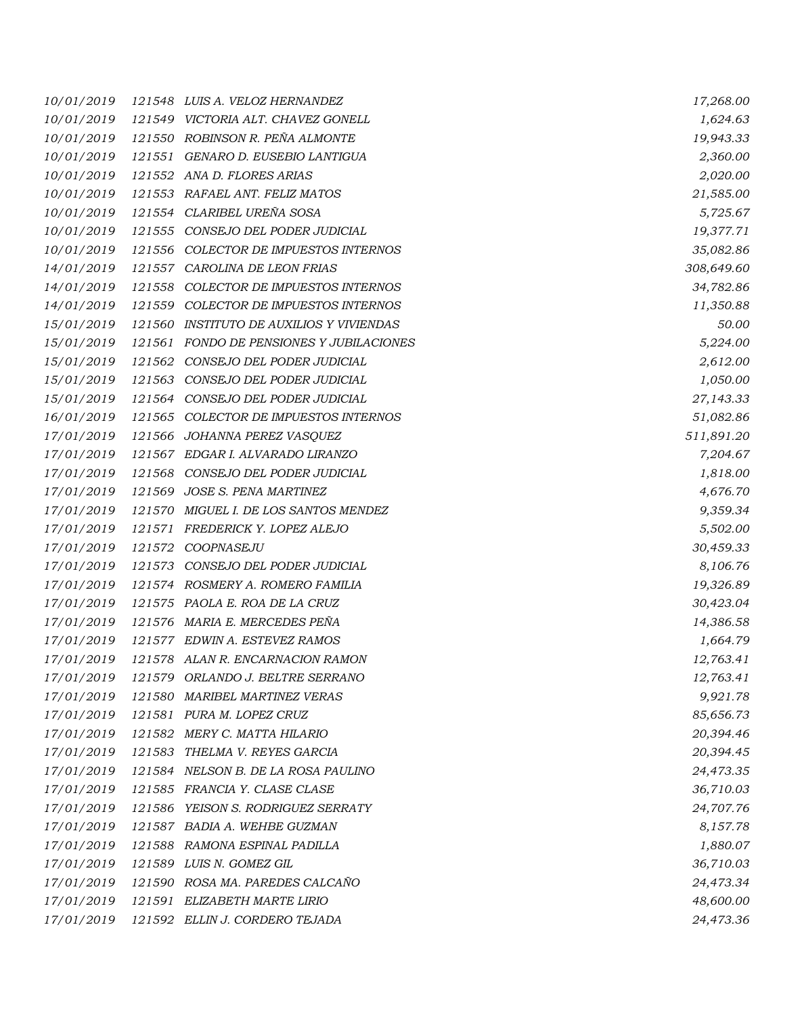| 10/01/2019 |        | 121548 LUIS A. VELOZ HERNANDEZ           | 17,268.00  |
|------------|--------|------------------------------------------|------------|
| 10/01/2019 |        | 121549 VICTORIA ALT. CHAVEZ GONELL       | 1,624.63   |
| 10/01/2019 |        | 121550 ROBINSON R. PEÑA ALMONTE          | 19,943.33  |
| 10/01/2019 | 121551 | GENARO D. EUSEBIO LANTIGUA               | 2,360.00   |
| 10/01/2019 |        | 121552 ANA D. FLORES ARIAS               | 2,020.00   |
| 10/01/2019 |        | 121553 RAFAEL ANT. FELIZ MATOS           | 21,585.00  |
| 10/01/2019 |        | 121554 CLARIBEL UREÑA SOSA               | 5,725.67   |
| 10/01/2019 |        | 121555 CONSEJO DEL PODER JUDICIAL        | 19,377.71  |
| 10/01/2019 |        | 121556 COLECTOR DE IMPUESTOS INTERNOS    | 35,082.86  |
| 14/01/2019 |        | 121557 CAROLINA DE LEON FRIAS            | 308,649.60 |
| 14/01/2019 | 121558 | COLECTOR DE IMPUESTOS INTERNOS           | 34,782.86  |
| 14/01/2019 | 121559 | COLECTOR DE IMPUESTOS INTERNOS           | 11,350.88  |
| 15/01/2019 |        | 121560 INSTITUTO DE AUXILIOS Y VIVIENDAS | 50.00      |
| 15/01/2019 | 121561 | FONDO DE PENSIONES Y JUBILACIONES        | 5,224.00   |
| 15/01/2019 |        | 121562 CONSEJO DEL PODER JUDICIAL        | 2,612.00   |
| 15/01/2019 | 121563 | CONSEJO DEL PODER JUDICIAL               | 1,050.00   |
| 15/01/2019 |        | 121564 CONSEJO DEL PODER JUDICIAL        | 27,143.33  |
| 16/01/2019 |        | 121565 COLECTOR DE IMPUESTOS INTERNOS    | 51,082.86  |
| 17/01/2019 |        | 121566 JOHANNA PEREZ VASQUEZ             | 511,891.20 |
| 17/01/2019 |        | 121567 EDGAR I. ALVARADO LIRANZO         | 7,204.67   |
| 17/01/2019 | 121568 | CONSEJO DEL PODER JUDICIAL               | 1,818.00   |
| 17/01/2019 |        | 121569 JOSE S. PENA MARTINEZ             | 4,676.70   |
| 17/01/2019 | 121570 | MIGUEL I. DE LOS SANTOS MENDEZ           | 9,359.34   |
| 17/01/2019 |        | 121571 FREDERICK Y. LOPEZ ALEJO          | 5,502.00   |
| 17/01/2019 |        | 121572 COOPNASEJU                        | 30,459.33  |
| 17/01/2019 | 121573 | CONSEJO DEL PODER JUDICIAL               | 8,106.76   |
| 17/01/2019 |        | 121574 ROSMERY A. ROMERO FAMILIA         | 19,326.89  |
| 17/01/2019 |        | 121575 PAOLA E. ROA DE LA CRUZ           | 30,423.04  |
| 17/01/2019 |        | 121576 MARIA E. MERCEDES PEÑA            | 14,386.58  |
| 17/01/2019 |        | 121577 EDWIN A. ESTEVEZ RAMOS            | 1,664.79   |
| 17/01/2019 |        | 121578 ALAN R. ENCARNACION RAMON         | 12,763.41  |
| 17/01/2019 |        | 121579 ORLANDO J. BELTRE SERRANO         | 12,763.41  |
| 17/01/2019 | 121580 | MARIBEL MARTINEZ VERAS                   | 9,921.78   |
| 17/01/2019 |        | 121581 PURA M. LOPEZ CRUZ                | 85,656.73  |
| 17/01/2019 |        | 121582 MERY C. MATTA HILARIO             | 20,394.46  |
| 17/01/2019 |        | 121583 THELMA V. REYES GARCIA            | 20,394.45  |
| 17/01/2019 |        | 121584 NELSON B. DE LA ROSA PAULINO      | 24,473.35  |
| 17/01/2019 |        | 121585 FRANCIA Y. CLASE CLASE            | 36,710.03  |
| 17/01/2019 |        | 121586 YEISON S. RODRIGUEZ SERRATY       | 24,707.76  |
| 17/01/2019 |        | 121587 BADIA A. WEHBE GUZMAN             | 8,157.78   |
| 17/01/2019 |        | 121588 RAMONA ESPINAL PADILLA            | 1,880.07   |
| 17/01/2019 |        | 121589 LUIS N. GOMEZ GIL                 | 36,710.03  |
| 17/01/2019 |        | 121590 ROSA MA. PAREDES CALCAÑO          | 24,473.34  |
| 17/01/2019 |        | 121591 ELIZABETH MARTE LIRIO             | 48,600.00  |
| 17/01/2019 |        | 121592 ELLIN J. CORDERO TEJADA           | 24,473.36  |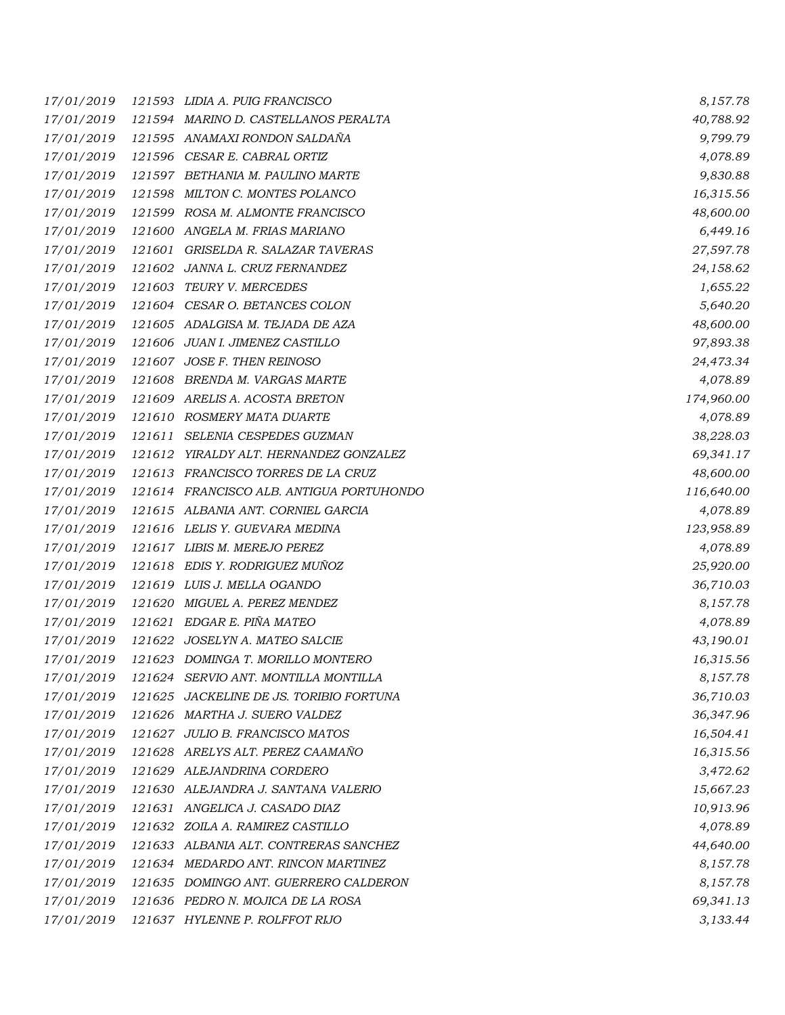| 17/01/2019 |        | 121593 LIDIA A. PUIG FRANCISCO           | 8,157.78   |
|------------|--------|------------------------------------------|------------|
| 17/01/2019 |        | 121594 MARINO D. CASTELLANOS PERALTA     | 40,788.92  |
| 17/01/2019 |        | 121595 ANAMAXI RONDON SALDAÑA            | 9,799.79   |
| 17/01/2019 |        | 121596 CESAR E. CABRAL ORTIZ             | 4,078.89   |
| 17/01/2019 |        | 121597 BETHANIA M. PAULINO MARTE         | 9,830.88   |
| 17/01/2019 |        | 121598 MILTON C. MONTES POLANCO          | 16,315.56  |
| 17/01/2019 |        | 121599 ROSA M. ALMONTE FRANCISCO         | 48,600.00  |
| 17/01/2019 |        | 121600 ANGELA M. FRIAS MARIANO           | 6,449.16   |
| 17/01/2019 |        | 121601 GRISELDA R. SALAZAR TAVERAS       | 27,597.78  |
| 17/01/2019 |        | 121602 JANNA L. CRUZ FERNANDEZ           | 24,158.62  |
| 17/01/2019 |        | 121603 TEURY V. MERCEDES                 | 1,655.22   |
| 17/01/2019 |        | 121604 CESAR O. BETANCES COLON           | 5,640.20   |
| 17/01/2019 |        | 121605 ADALGISA M. TEJADA DE AZA         | 48,600.00  |
| 17/01/2019 |        | 121606 JUAN I. JIMENEZ CASTILLO          | 97,893.38  |
| 17/01/2019 |        | 121607 JOSE F. THEN REINOSO              | 24,473.34  |
| 17/01/2019 |        | 121608 BRENDA M. VARGAS MARTE            | 4,078.89   |
| 17/01/2019 |        | 121609 ARELIS A. ACOSTA BRETON           | 174,960.00 |
| 17/01/2019 |        | 121610 ROSMERY MATA DUARTE               | 4,078.89   |
| 17/01/2019 | 121611 | SELENIA CESPEDES GUZMAN                  | 38,228.03  |
| 17/01/2019 |        | 121612 YIRALDY ALT. HERNANDEZ GONZALEZ   | 69,341.17  |
| 17/01/2019 |        | 121613 FRANCISCO TORRES DE LA CRUZ       | 48,600.00  |
| 17/01/2019 |        | 121614 FRANCISCO ALB. ANTIGUA PORTUHONDO | 116,640.00 |
| 17/01/2019 |        | 121615 ALBANIA ANT. CORNIEL GARCIA       | 4,078.89   |
| 17/01/2019 |        | 121616 LELIS Y. GUEVARA MEDINA           | 123,958.89 |
| 17/01/2019 |        | 121617 LIBIS M. MEREJO PEREZ             | 4,078.89   |
| 17/01/2019 |        | 121618 EDIS Y. RODRIGUEZ MUÑOZ           | 25,920.00  |
| 17/01/2019 |        | 121619 LUIS J. MELLA OGANDO              | 36,710.03  |
| 17/01/2019 | 121620 | MIGUEL A. PEREZ MENDEZ                   | 8,157.78   |
| 17/01/2019 |        | 121621 EDGAR E. PIÑA MATEO               | 4,078.89   |
| 17/01/2019 | 121622 | JOSELYN A. MATEO SALCIE                  | 43,190.01  |
| 17/01/2019 |        | 121623 DOMINGA T. MORILLO MONTERO        | 16,315.56  |
| 17/01/2019 |        | 121624 SERVIO ANT. MONTILLA MONTILLA     | 8,157.78   |
| 17/01/2019 |        | 121625 JACKELINE DE JS. TORIBIO FORTUNA  | 36,710.03  |
| 17/01/2019 |        | 121626 MARTHA J. SUERO VALDEZ            | 36,347.96  |
| 17/01/2019 |        | 121627 JULIO B. FRANCISCO MATOS          | 16,504.41  |
| 17/01/2019 |        | 121628 ARELYS ALT. PEREZ CAAMAÑO         | 16,315.56  |
| 17/01/2019 |        | 121629 ALEJANDRINA CORDERO               | 3,472.62   |
| 17/01/2019 |        | 121630 ALEJANDRA J. SANTANA VALERIO      | 15,667.23  |
| 17/01/2019 |        | 121631 ANGELICA J. CASADO DIAZ           | 10,913.96  |
| 17/01/2019 |        | 121632 ZOILA A. RAMIREZ CASTILLO         | 4,078.89   |
| 17/01/2019 |        | 121633 ALBANIA ALT. CONTRERAS SANCHEZ    | 44,640.00  |
| 17/01/2019 |        | 121634 MEDARDO ANT. RINCON MARTINEZ      | 8,157.78   |
| 17/01/2019 |        | 121635 DOMINGO ANT. GUERRERO CALDERON    | 8,157.78   |
| 17/01/2019 |        | 121636 PEDRO N. MOJICA DE LA ROSA        | 69,341.13  |
| 17/01/2019 |        | 121637 HYLENNE P. ROLFFOT RIJO           | 3,133.44   |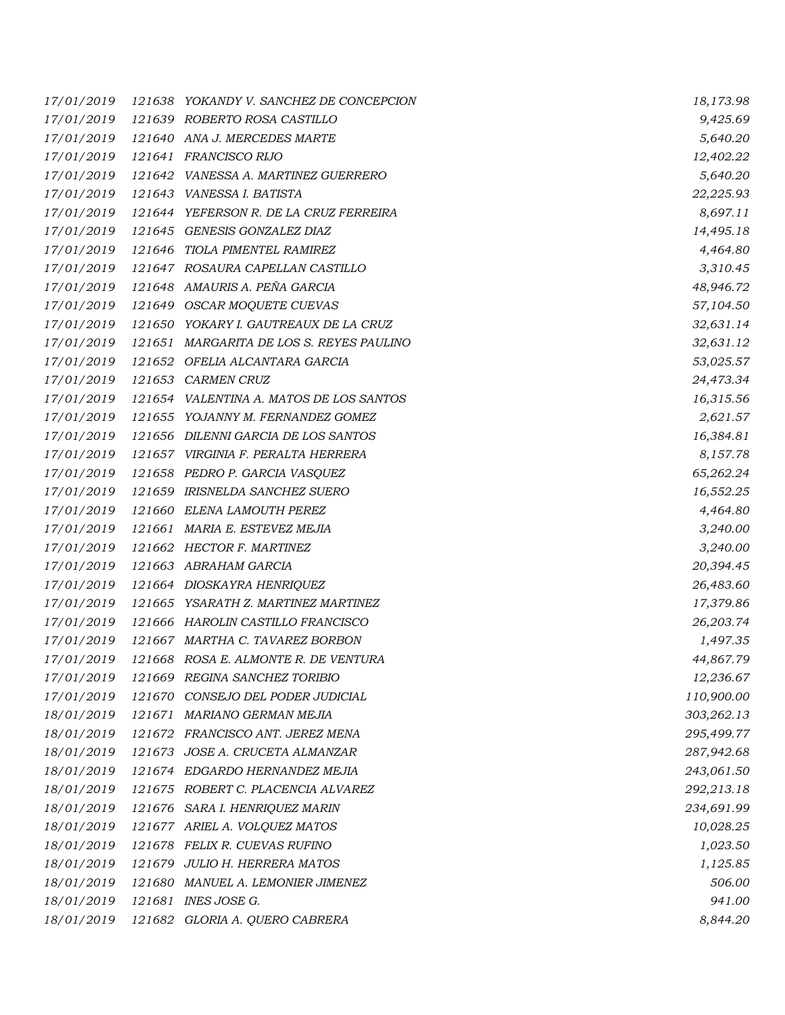| 17/01/2019 |        | 121638 YOKANDY V. SANCHEZ DE CONCEPCION  | 18,173.98  |
|------------|--------|------------------------------------------|------------|
| 17/01/2019 |        | 121639 ROBERTO ROSA CASTILLO             | 9,425.69   |
| 17/01/2019 |        | 121640 ANA J. MERCEDES MARTE             | 5,640.20   |
| 17/01/2019 |        | 121641 FRANCISCO RIJO                    | 12,402.22  |
| 17/01/2019 |        | 121642 VANESSA A. MARTINEZ GUERRERO      | 5,640.20   |
| 17/01/2019 |        | 121643 VANESSA I. BATISTA                | 22,225.93  |
| 17/01/2019 |        | 121644 YEFERSON R. DE LA CRUZ FERREIRA   | 8,697.11   |
| 17/01/2019 |        | 121645 GENESIS GONZALEZ DIAZ             | 14,495.18  |
| 17/01/2019 |        | 121646 TIOLA PIMENTEL RAMIREZ            | 4,464.80   |
| 17/01/2019 |        | 121647 ROSAURA CAPELLAN CASTILLO         | 3,310.45   |
| 17/01/2019 |        | 121648 AMAURIS A. PEÑA GARCIA            | 48,946.72  |
| 17/01/2019 |        | 121649 OSCAR MOQUETE CUEVAS              | 57,104.50  |
| 17/01/2019 |        | 121650 YOKARY I. GAUTREAUX DE LA CRUZ    | 32,631.14  |
| 17/01/2019 |        | 121651 MARGARITA DE LOS S. REYES PAULINO | 32,631.12  |
| 17/01/2019 |        | 121652 OFELIA ALCANTARA GARCIA           | 53,025.57  |
| 17/01/2019 |        | 121653 CARMEN CRUZ                       | 24,473.34  |
| 17/01/2019 |        | 121654 VALENTINA A. MATOS DE LOS SANTOS  | 16,315.56  |
| 17/01/2019 |        | 121655 YOJANNY M. FERNANDEZ GOMEZ        | 2,621.57   |
| 17/01/2019 |        | 121656 DILENNI GARCIA DE LOS SANTOS      | 16,384.81  |
| 17/01/2019 |        | 121657 VIRGINIA F. PERALTA HERRERA       | 8,157.78   |
| 17/01/2019 |        | 121658 PEDRO P. GARCIA VASQUEZ           | 65,262.24  |
| 17/01/2019 |        | 121659 IRISNELDA SANCHEZ SUERO           | 16,552.25  |
| 17/01/2019 |        | 121660 ELENA LAMOUTH PEREZ               | 4,464.80   |
| 17/01/2019 |        | 121661 MARIA E. ESTEVEZ MEJIA            | 3,240.00   |
| 17/01/2019 |        | 121662 HECTOR F. MARTINEZ                | 3,240.00   |
| 17/01/2019 |        | 121663 ABRAHAM GARCIA                    | 20,394.45  |
| 17/01/2019 |        | 121664 DIOSKAYRA HENRIQUEZ               | 26,483.60  |
| 17/01/2019 |        | 121665 YSARATH Z. MARTINEZ MARTINEZ      | 17,379.86  |
| 17/01/2019 |        | 121666 HAROLIN CASTILLO FRANCISCO        | 26,203.74  |
| 17/01/2019 |        | 121667 MARTHA C. TAVAREZ BORBON          | 1,497.35   |
| 17/01/2019 |        | 121668 ROSA E. ALMONTE R. DE VENTURA     | 44,867.79  |
| 17/01/2019 |        | 121669 REGINA SANCHEZ TORIBIO            | 12,236.67  |
| 17/01/2019 | 121670 | CONSEJO DEL PODER JUDICIAL               | 110,900.00 |
| 18/01/2019 | 121671 | MARIANO GERMAN MEJIA                     | 303,262.13 |
| 18/01/2019 |        | 121672 FRANCISCO ANT. JEREZ MENA         | 295,499.77 |
| 18/01/2019 | 121673 | JOSE A. CRUCETA ALMANZAR                 | 287,942.68 |
| 18/01/2019 | 121674 | EDGARDO HERNANDEZ MEJIA                  | 243,061.50 |
| 18/01/2019 |        | 121675 ROBERT C. PLACENCIA ALVAREZ       | 292,213.18 |
| 18/01/2019 |        | 121676 SARA I. HENRIQUEZ MARIN           | 234,691.99 |
| 18/01/2019 |        | 121677 ARIEL A. VOLQUEZ MATOS            | 10,028.25  |
| 18/01/2019 | 121678 | FELIX R. CUEVAS RUFINO                   | 1,023.50   |
| 18/01/2019 |        | 121679 JULIO H. HERRERA MATOS            | 1,125.85   |
| 18/01/2019 |        | 121680 MANUEL A. LEMONIER JIMENEZ        | 506.00     |
| 18/01/2019 |        | 121681 INES JOSE G.                      | 941.00     |
| 18/01/2019 |        | 121682 GLORIA A. QUERO CABRERA           | 8,844.20   |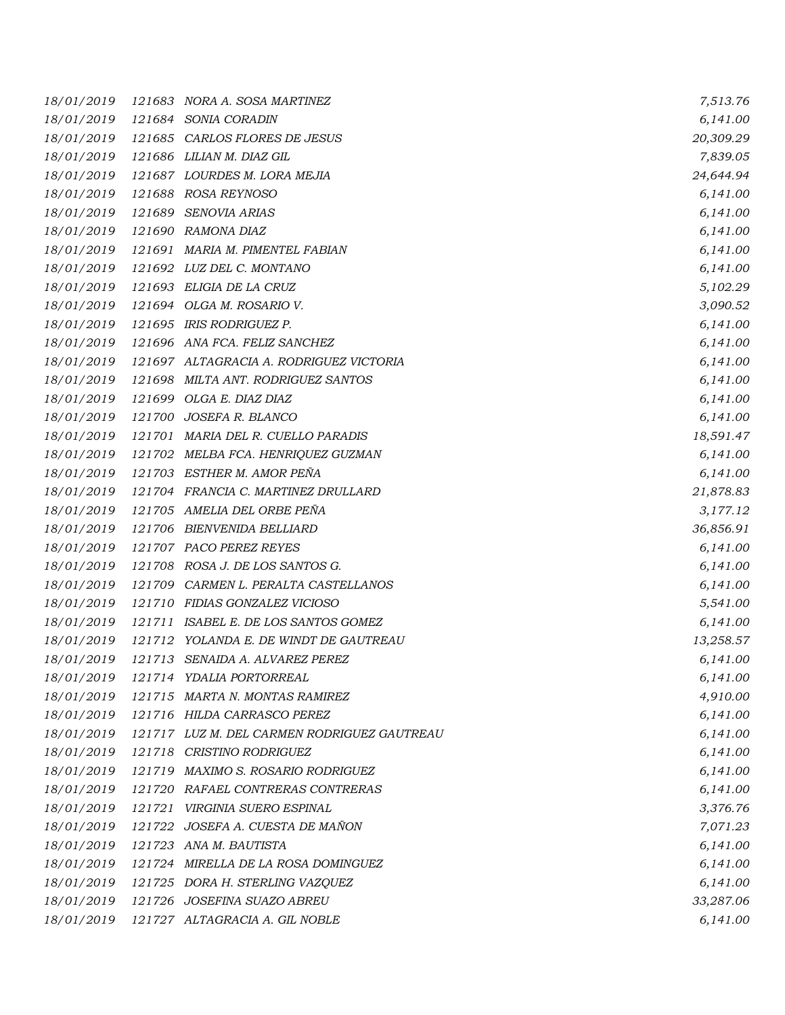| 18/01/2019 |        | 121683 NORA A. SOSA MARTINEZ                | 7,513.76  |
|------------|--------|---------------------------------------------|-----------|
| 18/01/2019 |        | 121684 SONIA CORADIN                        | 6,141.00  |
| 18/01/2019 |        | 121685 CARLOS FLORES DE JESUS               | 20,309.29 |
| 18/01/2019 |        | 121686 LILIAN M. DIAZ GIL                   | 7,839.05  |
| 18/01/2019 |        | 121687 LOURDES M. LORA MEJIA                | 24,644.94 |
| 18/01/2019 |        | 121688 ROSA REYNOSO                         | 6,141.00  |
| 18/01/2019 | 121689 | SENOVIA ARIAS                               | 6,141.00  |
| 18/01/2019 |        | 121690 RAMONA DIAZ                          | 6,141.00  |
| 18/01/2019 |        | 121691 MARIA M. PIMENTEL FABIAN             | 6,141.00  |
| 18/01/2019 |        | 121692 LUZ DEL C. MONTANO                   | 6,141.00  |
| 18/01/2019 |        | 121693 ELIGIA DE LA CRUZ                    | 5,102.29  |
| 18/01/2019 |        | 121694 OLGA M. ROSARIO V.                   | 3,090.52  |
| 18/01/2019 |        | 121695 IRIS RODRIGUEZ P.                    | 6,141.00  |
| 18/01/2019 |        | 121696 ANA FCA. FELIZ SANCHEZ               | 6,141.00  |
| 18/01/2019 |        | 121697 ALTAGRACIA A. RODRIGUEZ VICTORIA     | 6,141.00  |
| 18/01/2019 |        | 121698 MILTA ANT. RODRIGUEZ SANTOS          | 6,141.00  |
| 18/01/2019 |        | 121699 OLGA E. DIAZ DIAZ                    | 6,141.00  |
| 18/01/2019 | 121700 | JOSEFA R. BLANCO                            | 6,141.00  |
| 18/01/2019 |        | 121701 MARIA DEL R. CUELLO PARADIS          | 18,591.47 |
| 18/01/2019 |        | 121702 MELBA FCA. HENRIQUEZ GUZMAN          | 6,141.00  |
| 18/01/2019 |        | 121703 ESTHER M. AMOR PEÑA                  | 6,141.00  |
| 18/01/2019 |        | 121704 FRANCIA C. MARTINEZ DRULLARD         | 21,878.83 |
| 18/01/2019 |        | 121705 AMELIA DEL ORBE PEÑA                 | 3,177.12  |
| 18/01/2019 |        | 121706 BIENVENIDA BELLIARD                  | 36,856.91 |
| 18/01/2019 |        | 121707 PACO PEREZ REYES                     | 6,141.00  |
| 18/01/2019 |        | 121708 ROSA J. DE LOS SANTOS G.             | 6,141.00  |
| 18/01/2019 |        | 121709 CARMEN L. PERALTA CASTELLANOS        | 6,141.00  |
| 18/01/2019 |        | 121710 FIDIAS GONZALEZ VICIOSO              | 5,541.00  |
| 18/01/2019 |        | 121711 ISABEL E. DE LOS SANTOS GOMEZ        | 6,141.00  |
| 18/01/2019 | 121712 | YOLANDA E. DE WINDT DE GAUTREAU             | 13,258.57 |
| 18/01/2019 | 121713 | SENAIDA A. ALVAREZ PEREZ                    | 6,141.00  |
| 18/01/2019 |        | 121714 YDALIA PORTORREAL                    | 6,141.00  |
| 18/01/2019 |        | 121715 MARTA N. MONTAS RAMIREZ              | 4,910.00  |
| 18/01/2019 |        | 121716 HILDA CARRASCO PEREZ                 | 6,141.00  |
| 18/01/2019 |        | 121717 LUZ M. DEL CARMEN RODRIGUEZ GAUTREAU | 6,141.00  |
| 18/01/2019 | 121718 | CRISTINO RODRIGUEZ                          | 6,141.00  |
| 18/01/2019 |        | 121719 MAXIMO S. ROSARIO RODRIGUEZ          | 6,141.00  |
| 18/01/2019 |        | 121720 RAFAEL CONTRERAS CONTRERAS           | 6,141.00  |
| 18/01/2019 |        | 121721 VIRGINIA SUERO ESPINAL               | 3,376.76  |
| 18/01/2019 | 121722 | JOSEFA A. CUESTA DE MAÑON                   | 7,071.23  |
| 18/01/2019 |        | 121723 ANA M. BAUTISTA                      | 6,141.00  |
| 18/01/2019 |        | 121724 MIRELLA DE LA ROSA DOMINGUEZ         | 6,141.00  |
| 18/01/2019 |        | 121725 DORA H. STERLING VAZQUEZ             | 6,141.00  |
| 18/01/2019 |        | 121726 JOSEFINA SUAZO ABREU                 | 33,287.06 |
| 18/01/2019 |        | 121727 ALTAGRACIA A. GIL NOBLE              | 6,141.00  |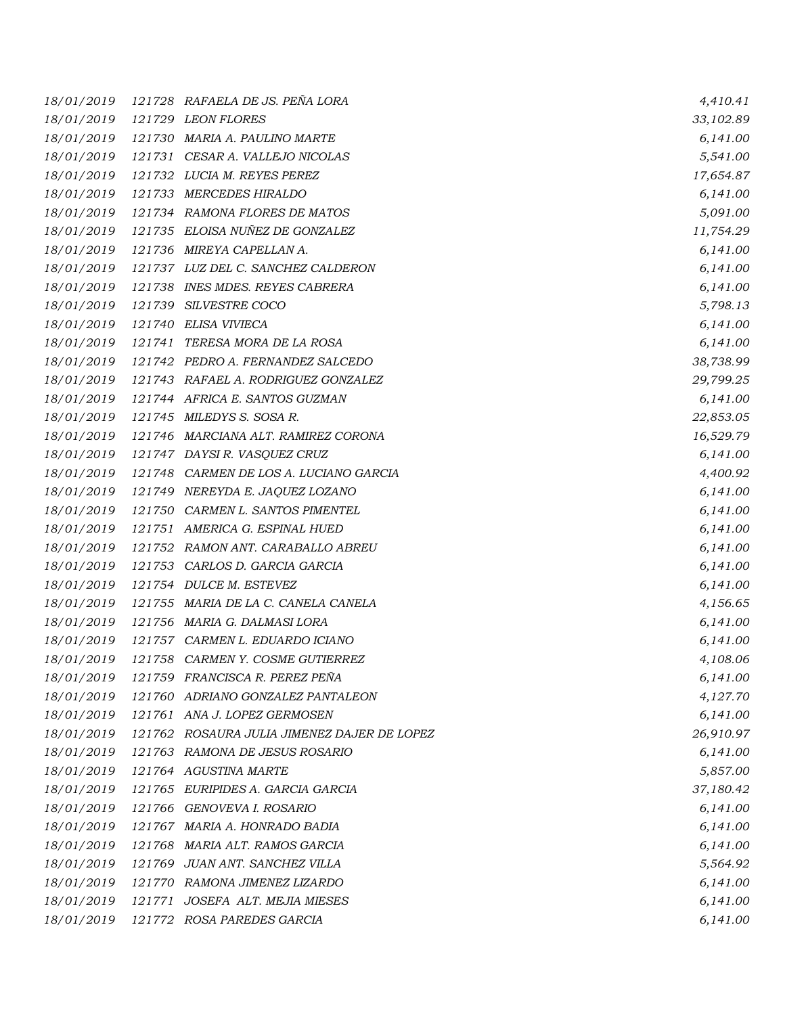| 18/01/2019 |        | 121728 RAFAELA DE JS. PEÑA LORA             | 4,410.41  |
|------------|--------|---------------------------------------------|-----------|
| 18/01/2019 |        | 121729 LEON FLORES                          | 33,102.89 |
| 18/01/2019 |        | 121730 MARIA A. PAULINO MARTE               | 6,141.00  |
| 18/01/2019 |        | 121731 CESAR A. VALLEJO NICOLAS             | 5,541.00  |
| 18/01/2019 |        | 121732 LUCIA M. REYES PEREZ                 | 17,654.87 |
| 18/01/2019 |        | 121733 MERCEDES HIRALDO                     | 6,141.00  |
| 18/01/2019 |        | 121734 RAMONA FLORES DE MATOS               | 5,091.00  |
| 18/01/2019 |        | 121735 ELOISA NUÑEZ DE GONZALEZ             | 11,754.29 |
| 18/01/2019 |        | 121736 MIREYA CAPELLAN A.                   | 6,141.00  |
| 18/01/2019 |        | 121737 LUZ DEL C. SANCHEZ CALDERON          | 6,141.00  |
| 18/01/2019 |        | 121738 INES MDES. REYES CABRERA             | 6,141.00  |
| 18/01/2019 | 121739 | SILVESTRE COCO                              | 5,798.13  |
| 18/01/2019 |        | 121740 ELISA VIVIECA                        | 6,141.00  |
| 18/01/2019 | 121741 | TERESA MORA DE LA ROSA                      | 6,141.00  |
| 18/01/2019 |        | 121742 PEDRO A. FERNANDEZ SALCEDO           | 38,738.99 |
| 18/01/2019 |        | 121743 RAFAEL A. RODRIGUEZ GONZALEZ         | 29,799.25 |
| 18/01/2019 |        | 121744 AFRICA E. SANTOS GUZMAN              | 6,141.00  |
| 18/01/2019 |        | 121745 MILEDYS S. SOSA R.                   | 22,853.05 |
| 18/01/2019 |        | 121746 MARCIANA ALT. RAMIREZ CORONA         | 16,529.79 |
| 18/01/2019 |        | 121747 DAYSIR. VASQUEZ CRUZ                 | 6,141.00  |
| 18/01/2019 |        | 121748 CARMEN DE LOS A. LUCIANO GARCIA      | 4,400.92  |
| 18/01/2019 |        | 121749 NEREYDA E. JAQUEZ LOZANO             | 6,141.00  |
| 18/01/2019 |        | 121750 CARMEN L. SANTOS PIMENTEL            | 6,141.00  |
| 18/01/2019 |        | 121751 AMERICA G. ESPINAL HUED              | 6,141.00  |
| 18/01/2019 |        | 121752 RAMON ANT. CARABALLO ABREU           | 6,141.00  |
| 18/01/2019 |        | 121753 CARLOS D. GARCIA GARCIA              | 6,141.00  |
| 18/01/2019 |        | 121754 DULCE M. ESTEVEZ                     | 6,141.00  |
| 18/01/2019 |        | 121755 MARIA DE LA C. CANELA CANELA         | 4,156.65  |
| 18/01/2019 |        | 121756 MARIA G. DALMASI LORA                | 6,141.00  |
| 18/01/2019 |        | 121757 CARMEN L. EDUARDO ICIANO             | 6,141.00  |
| 18/01/2019 |        | 121758 CARMEN Y. COSME GUTIERREZ            | 4,108.06  |
| 18/01/2019 |        | 121759 FRANCISCA R. PEREZ PEÑA              | 6,141.00  |
| 18/01/2019 |        | 121760 ADRIANO GONZALEZ PANTALEON           | 4,127.70  |
| 18/01/2019 |        | 121761 ANA J. LOPEZ GERMOSEN                | 6,141.00  |
| 18/01/2019 |        | 121762 ROSAURA JULIA JIMENEZ DAJER DE LOPEZ | 26,910.97 |
| 18/01/2019 |        | 121763 RAMONA DE JESUS ROSARIO              | 6,141.00  |
| 18/01/2019 |        | 121764 AGUSTINA MARTE                       | 5,857.00  |
| 18/01/2019 |        | 121765 EURIPIDES A. GARCIA GARCIA           | 37,180.42 |
| 18/01/2019 |        | 121766 GENOVEVA I. ROSARIO                  | 6,141.00  |
| 18/01/2019 |        | 121767 MARIA A. HONRADO BADIA               | 6,141.00  |
| 18/01/2019 |        | 121768 MARIA ALT. RAMOS GARCIA              | 6,141.00  |
| 18/01/2019 |        | 121769 JUAN ANT. SANCHEZ VILLA              | 5,564.92  |
| 18/01/2019 |        | 121770 RAMONA JIMENEZ LIZARDO               | 6,141.00  |
| 18/01/2019 | 121771 | JOSEFA ALT. MEJIA MIESES                    | 6,141.00  |
| 18/01/2019 |        | 121772 ROSA PAREDES GARCIA                  | 6,141.00  |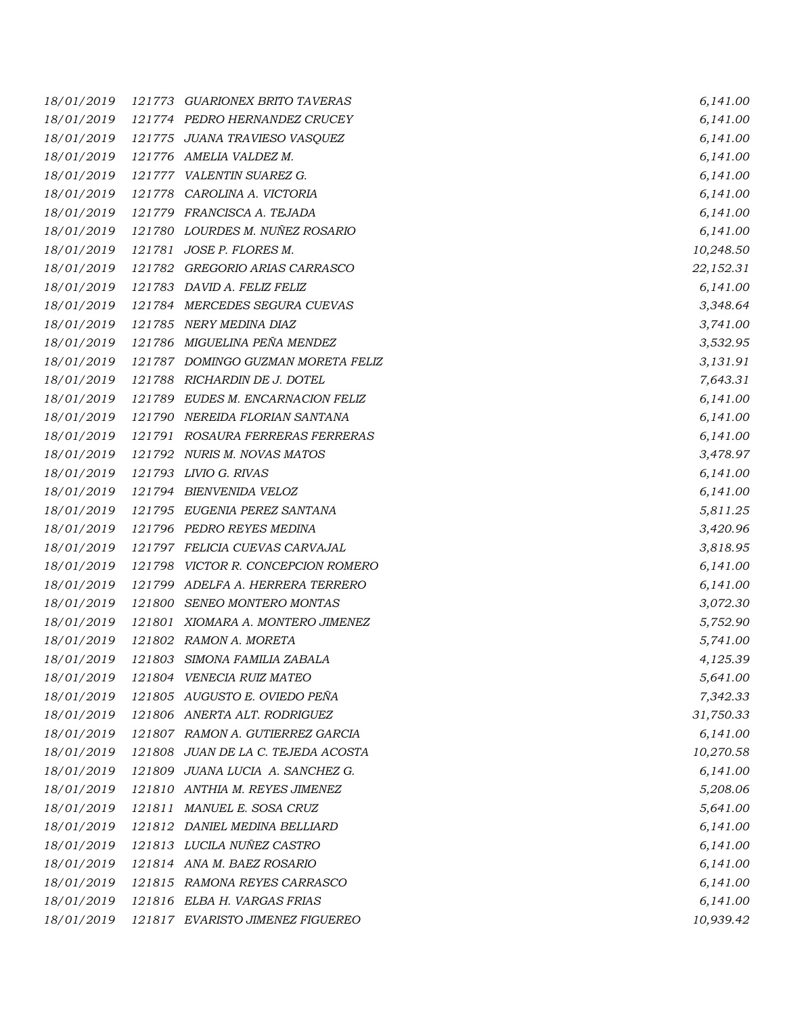*18/01/2019 121773 GUARIONEX BRITO TAVERAS 6,141.00 18/01/2019 121774 PEDRO HERNANDEZ CRUCEY 6,141.00 18/01/2019 121775 JUANA TRAVIESO VASQUEZ 6,141.00 18/01/2019 121776 AMELIA VALDEZ M. 6,141.00 18/01/2019 121777 VALENTIN SUAREZ G. 6,141.00 18/01/2019 121778 CAROLINA A. VICTORIA 6,141.00 18/01/2019 121779 FRANCISCA A. TEJADA 6,141.00 18/01/2019 121780 LOURDES M. NUÑEZ ROSARIO 6,141.00 18/01/2019 121781 JOSE P. FLORES M. 10,248.50 18/01/2019 121782 GREGORIO ARIAS CARRASCO 22,152.31 18/01/2019 121783 DAVID A. FELIZ FELIZ 6,141.00 18/01/2019 121784 MERCEDES SEGURA CUEVAS 3,348.64 18/01/2019 121785 NERY MEDINA DIAZ 3,741.00 18/01/2019 121786 MIGUELINA PEÑA MENDEZ 3,532.95 18/01/2019 121787 DOMINGO GUZMAN MORETA FELIZ 3,131.91 18/01/2019 121788 RICHARDIN DE J. DOTEL 7,643.31 18/01/2019 121789 EUDES M. ENCARNACION FELIZ 6,141.00 18/01/2019 121790 NEREIDA FLORIAN SANTANA 6,141.00 18/01/2019 121791 ROSAURA FERRERAS FERRERAS 6,141.00 18/01/2019 121792 NURIS M. NOVAS MATOS 3,478.97 18/01/2019 121793 LIVIO G. RIVAS 6,141.00 18/01/2019 121794 BIENVENIDA VELOZ 6,141.00 18/01/2019 121795 EUGENIA PEREZ SANTANA 5,811.25 18/01/2019 121796 PEDRO REYES MEDINA 3,420.96 18/01/2019 121797 FELICIA CUEVAS CARVAJAL 3,818.95 18/01/2019 121798 VICTOR R. CONCEPCION ROMERO 6,141.00 18/01/2019 121799 ADELFA A. HERRERA TERRERO 6,141.00 18/01/2019 121800 SENEO MONTERO MONTAS 3,072.30 18/01/2019 121801 XIOMARA A. MONTERO JIMENEZ 5,752.90 18/01/2019 121802 RAMON A. MORETA 5,741.00 18/01/2019 121803 SIMONA FAMILIA ZABALA 4,125.39 18/01/2019 121804 VENECIA RUIZ MATEO 5,641.00 18/01/2019 121805 AUGUSTO E. OVIEDO PEÑA 7,342.33 18/01/2019 121806 ANERTA ALT. RODRIGUEZ 31,750.33 18/01/2019 121807 RAMON A. GUTIERREZ GARCIA 6,141.00 18/01/2019 121808 JUAN DE LA C. TEJEDA ACOSTA 10,270.58 18/01/2019 121809 JUANA LUCIA A. SANCHEZ G. 6,141.00 18/01/2019 121810 ANTHIA M. REYES JIMENEZ 5,208.06 18/01/2019 121811 MANUEL E. SOSA CRUZ 5,641.00 18/01/2019 121812 DANIEL MEDINA BELLIARD 6,141.00 18/01/2019 121813 LUCILA NUÑEZ CASTRO 6,141.00 18/01/2019 121814 ANA M. BAEZ ROSARIO 6,141.00 18/01/2019 121815 RAMONA REYES CARRASCO 6,141.00 18/01/2019 121816 ELBA H. VARGAS FRIAS 6,141.00 18/01/2019 121817 EVARISTO JIMENEZ FIGUEREO 10,939.42*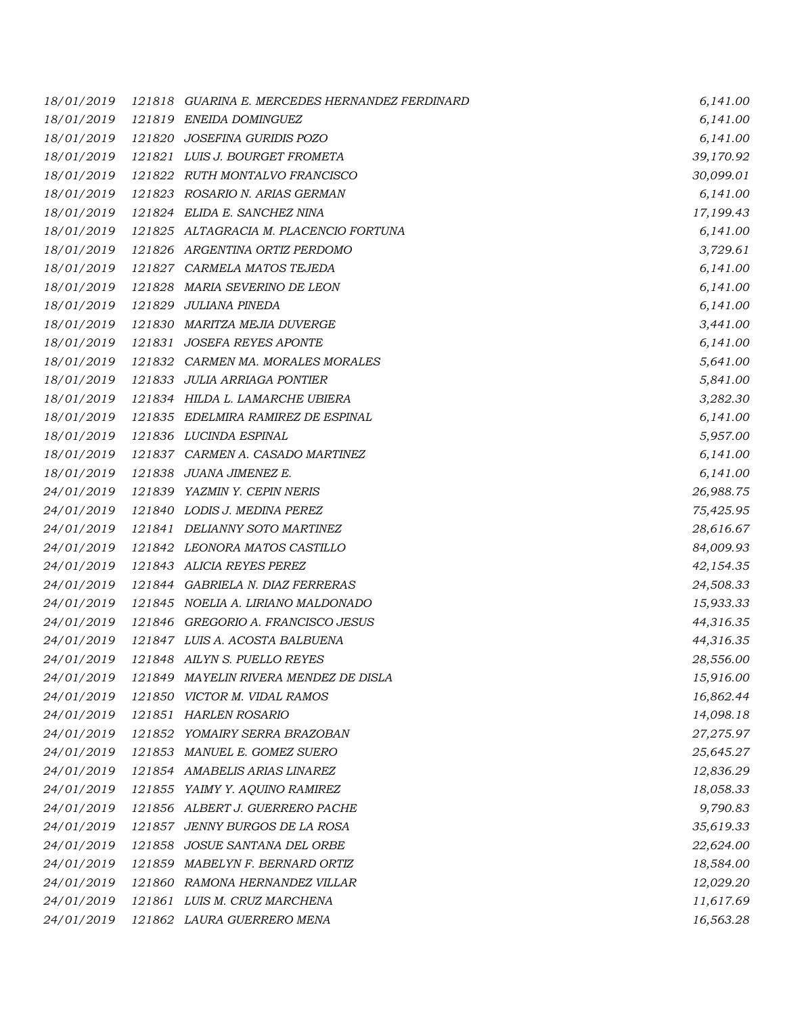| 18/01/2019 | 121818 GUARINA E. MERCEDES HERNANDEZ FERDINARD | 6,141.00  |
|------------|------------------------------------------------|-----------|
| 18/01/2019 | 121819 ENEIDA DOMINGUEZ                        | 6,141.00  |
| 18/01/2019 | 121820 JOSEFINA GURIDIS POZO                   | 6,141.00  |
| 18/01/2019 | 121821 LUIS J. BOURGET FROMETA                 | 39,170.92 |
| 18/01/2019 | 121822 RUTH MONTALVO FRANCISCO                 | 30,099.01 |
| 18/01/2019 | 121823 ROSARIO N. ARIAS GERMAN                 | 6,141.00  |
| 18/01/2019 | 121824 ELIDA E. SANCHEZ NINA                   | 17,199.43 |
| 18/01/2019 | 121825 ALTAGRACIA M. PLACENCIO FORTUNA         | 6,141.00  |
| 18/01/2019 | 121826 ARGENTINA ORTIZ PERDOMO                 | 3,729.61  |
| 18/01/2019 | 121827 CARMELA MATOS TEJEDA                    | 6,141.00  |
| 18/01/2019 | 121828 MARIA SEVERINO DE LEON                  | 6,141.00  |
| 18/01/2019 | 121829 JULIANA PINEDA                          | 6,141.00  |
| 18/01/2019 | 121830 MARITZA MEJIA DUVERGE                   | 3,441.00  |
| 18/01/2019 | 121831 JOSEFA REYES APONTE                     | 6,141.00  |
| 18/01/2019 | 121832 CARMEN MA. MORALES MORALES              | 5,641.00  |
| 18/01/2019 | 121833 JULIA ARRIAGA PONTIER                   | 5,841.00  |
| 18/01/2019 | 121834 HILDA L. LAMARCHE UBIERA                | 3,282.30  |
| 18/01/2019 | 121835 EDELMIRA RAMIREZ DE ESPINAL             | 6,141.00  |
| 18/01/2019 | 121836 LUCINDA ESPINAL                         | 5,957.00  |
| 18/01/2019 | 121837 CARMEN A. CASADO MARTINEZ               | 6,141.00  |
| 18/01/2019 | 121838 JUANA JIMENEZ E.                        | 6,141.00  |
| 24/01/2019 | 121839 YAZMIN Y. CEPIN NERIS                   | 26,988.75 |
| 24/01/2019 | 121840 LODIS J. MEDINA PEREZ                   | 75,425.95 |
| 24/01/2019 | 121841 DELIANNY SOTO MARTINEZ                  | 28,616.67 |
| 24/01/2019 | 121842 LEONORA MATOS CASTILLO                  | 84,009.93 |
| 24/01/2019 | 121843 ALICIA REYES PEREZ                      | 42,154.35 |
| 24/01/2019 | 121844 GABRIELA N. DIAZ FERRERAS               | 24,508.33 |
| 24/01/2019 | 121845 NOELIA A. LIRIANO MALDONADO             | 15,933.33 |
| 24/01/2019 | 121846 GREGORIO A. FRANCISCO JESUS             | 44,316.35 |
| 24/01/2019 | 121847 LUIS A. ACOSTA BALBUENA                 | 44,316.35 |
| 24/01/2019 | 121848 AILYN S. PUELLO REYES                   | 28,556.00 |
| 24/01/2019 | 121849 MAYELIN RIVERA MENDEZ DE DISLA          | 15,916.00 |
| 24/01/2019 | 121850 VICTOR M. VIDAL RAMOS                   | 16,862.44 |
| 24/01/2019 | 121851 HARLEN ROSARIO                          | 14,098.18 |
| 24/01/2019 | 121852 YOMAIRY SERRA BRAZOBAN                  | 27,275.97 |
| 24/01/2019 | 121853 MANUEL E. GOMEZ SUERO                   | 25,645.27 |
| 24/01/2019 | 121854 AMABELIS ARIAS LINAREZ                  | 12,836.29 |
| 24/01/2019 | 121855 YAIMY Y. AQUINO RAMIREZ                 | 18,058.33 |
| 24/01/2019 | 121856 ALBERT J. GUERRERO PACHE                | 9,790.83  |
| 24/01/2019 | 121857 JENNY BURGOS DE LA ROSA                 | 35,619.33 |
| 24/01/2019 | 121858 JOSUE SANTANA DEL ORBE                  | 22,624.00 |
| 24/01/2019 | 121859 MABELYN F. BERNARD ORTIZ                | 18,584.00 |
| 24/01/2019 | 121860 RAMONA HERNANDEZ VILLAR                 | 12,029.20 |
| 24/01/2019 | 121861 LUIS M. CRUZ MARCHENA                   | 11,617.69 |
| 24/01/2019 | 121862 LAURA GUERRERO MENA                     | 16,563.28 |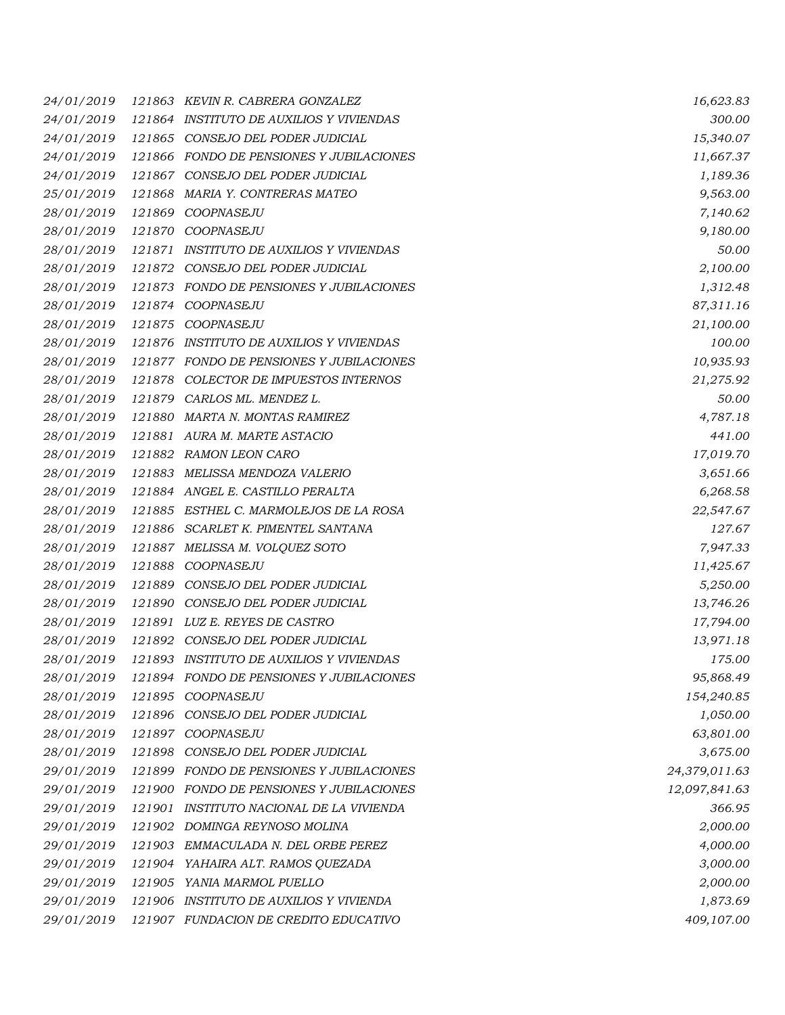| 24/01/2019 |        | 121863 KEVIN R. CABRERA GONZALEZ         | 16,623.83     |
|------------|--------|------------------------------------------|---------------|
| 24/01/2019 |        | 121864 INSTITUTO DE AUXILIOS Y VIVIENDAS | 300.00        |
| 24/01/2019 |        | 121865 CONSEJO DEL PODER JUDICIAL        | 15,340.07     |
| 24/01/2019 |        | 121866 FONDO DE PENSIONES Y JUBILACIONES | 11,667.37     |
| 24/01/2019 |        | 121867 CONSEJO DEL PODER JUDICIAL        | 1,189.36      |
| 25/01/2019 |        | 121868 MARIA Y. CONTRERAS MATEO          | 9,563.00      |
| 28/01/2019 |        | 121869 COOPNASEJU                        | 7,140.62      |
| 28/01/2019 |        | 121870 COOPNASEJU                        | 9,180.00      |
| 28/01/2019 |        | 121871 INSTITUTO DE AUXILIOS Y VIVIENDAS | 50.00         |
| 28/01/2019 |        | 121872 CONSEJO DEL PODER JUDICIAL        | 2,100.00      |
| 28/01/2019 |        | 121873 FONDO DE PENSIONES Y JUBILACIONES | 1,312.48      |
| 28/01/2019 |        | 121874 COOPNASEJU                        | 87,311.16     |
| 28/01/2019 |        | 121875 COOPNASEJU                        | 21,100.00     |
| 28/01/2019 |        | 121876 INSTITUTO DE AUXILIOS Y VIVIENDAS | 100.00        |
| 28/01/2019 |        | 121877 FONDO DE PENSIONES Y JUBILACIONES | 10,935.93     |
| 28/01/2019 |        | 121878 COLECTOR DE IMPUESTOS INTERNOS    | 21,275.92     |
| 28/01/2019 |        | 121879 CARLOS ML. MENDEZ L.              | 50.00         |
| 28/01/2019 | 121880 | MARTA N. MONTAS RAMIREZ                  | 4,787.18      |
| 28/01/2019 |        | 121881 AURA M. MARTE ASTACIO             | 441.00        |
| 28/01/2019 |        | 121882 RAMON LEON CARO                   | 17,019.70     |
| 28/01/2019 |        | 121883 MELISSA MENDOZA VALERIO           | 3,651.66      |
| 28/01/2019 |        | 121884 ANGEL E. CASTILLO PERALTA         | 6,268.58      |
| 28/01/2019 |        | 121885 ESTHEL C. MARMOLEJOS DE LA ROSA   | 22,547.67     |
| 28/01/2019 |        | 121886 SCARLET K. PIMENTEL SANTANA       | 127.67        |
| 28/01/2019 |        | 121887 MELISSA M. VOLQUEZ SOTO           | 7,947.33      |
| 28/01/2019 |        | 121888 COOPNASEJU                        | 11,425.67     |
| 28/01/2019 |        | 121889 CONSEJO DEL PODER JUDICIAL        | 5,250.00      |
| 28/01/2019 |        | 121890 CONSEJO DEL PODER JUDICIAL        | 13,746.26     |
| 28/01/2019 |        | 121891 LUZ E. REYES DE CASTRO            | 17,794.00     |
| 28/01/2019 |        | 121892 CONSEJO DEL PODER JUDICIAL        | 13,971.18     |
| 28/01/2019 |        | 121893 INSTITUTO DE AUXILIOS Y VIVIENDAS | 175.00        |
| 28/01/2019 |        | 121894 FONDO DE PENSIONES Y JUBILACIONES | 95,868.49     |
| 28/01/2019 |        | 121895 COOPNASEJU                        | 154,240.85    |
| 28/01/2019 |        | 121896 CONSEJO DEL PODER JUDICIAL        | 1,050.00      |
| 28/01/2019 |        | 121897 COOPNASEJU                        | 63,801.00     |
| 28/01/2019 |        | 121898 CONSEJO DEL PODER JUDICIAL        | 3,675.00      |
| 29/01/2019 |        | 121899 FONDO DE PENSIONES Y JUBILACIONES | 24,379,011.63 |
| 29/01/2019 |        | 121900 FONDO DE PENSIONES Y JUBILACIONES | 12,097,841.63 |
| 29/01/2019 |        | 121901 INSTITUTO NACIONAL DE LA VIVIENDA | 366.95        |
| 29/01/2019 |        | 121902 DOMINGA REYNOSO MOLINA            | 2,000.00      |
| 29/01/2019 |        | 121903 EMMACULADA N. DEL ORBE PEREZ      | 4,000.00      |
| 29/01/2019 |        | 121904 YAHAIRA ALT. RAMOS QUEZADA        | 3,000.00      |
| 29/01/2019 |        | 121905 YANIA MARMOL PUELLO               | 2,000.00      |
| 29/01/2019 |        | 121906 INSTITUTO DE AUXILIOS Y VIVIENDA  | 1,873.69      |
| 29/01/2019 |        | 121907 FUNDACION DE CREDITO EDUCATIVO    | 409,107.00    |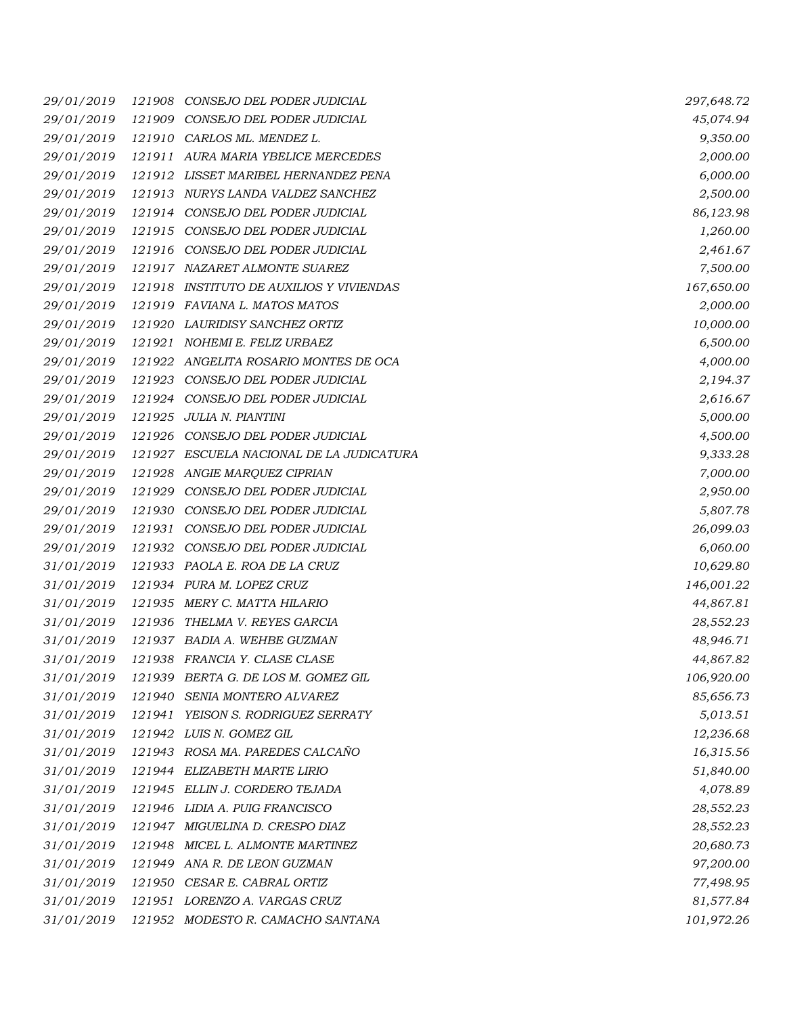| 29/01/2019 |        | 121908 CONSEJO DEL PODER JUDICIAL        | 297,648.72 |
|------------|--------|------------------------------------------|------------|
| 29/01/2019 |        | 121909 CONSEJO DEL PODER JUDICIAL        | 45,074.94  |
| 29/01/2019 |        | 121910 CARLOS ML. MENDEZ L.              | 9,350.00   |
| 29/01/2019 |        | 121911 AURA MARIA YBELICE MERCEDES       | 2,000.00   |
| 29/01/2019 |        | 121912 LISSET MARIBEL HERNANDEZ PENA     | 6,000.00   |
| 29/01/2019 | 121913 | NURYS LANDA VALDEZ SANCHEZ               | 2,500.00   |
| 29/01/2019 | 121914 | CONSEJO DEL PODER JUDICIAL               | 86,123.98  |
| 29/01/2019 |        | 121915 CONSEJO DEL PODER JUDICIAL        | 1,260.00   |
| 29/01/2019 |        | 121916 CONSEJO DEL PODER JUDICIAL        | 2,461.67   |
| 29/01/2019 |        | 121917 NAZARET ALMONTE SUAREZ            | 7,500.00   |
| 29/01/2019 |        | 121918 INSTITUTO DE AUXILIOS Y VIVIENDAS | 167,650.00 |
| 29/01/2019 |        | 121919 FAVIANA L. MATOS MATOS            | 2,000.00   |
| 29/01/2019 |        | 121920 LAURIDISY SANCHEZ ORTIZ           | 10,000.00  |
| 29/01/2019 |        | 121921 NOHEMI E. FELIZ URBAEZ            | 6,500.00   |
| 29/01/2019 |        | 121922 ANGELITA ROSARIO MONTES DE OCA    | 4,000.00   |
| 29/01/2019 |        | 121923 CONSEJO DEL PODER JUDICIAL        | 2,194.37   |
| 29/01/2019 | 121924 | CONSEJO DEL PODER JUDICIAL               | 2,616.67   |
| 29/01/2019 |        | 121925 JULIA N. PIANTINI                 | 5,000.00   |
| 29/01/2019 |        | 121926 CONSEJO DEL PODER JUDICIAL        | 4,500.00   |
| 29/01/2019 |        | 121927 ESCUELA NACIONAL DE LA JUDICATURA | 9,333.28   |
| 29/01/2019 |        | 121928 ANGIE MARQUEZ CIPRIAN             | 7,000.00   |
| 29/01/2019 | 121929 | CONSEJO DEL PODER JUDICIAL               | 2,950.00   |
| 29/01/2019 |        | 121930 CONSEJO DEL PODER JUDICIAL        | 5,807.78   |
| 29/01/2019 | 121931 | CONSEJO DEL PODER JUDICIAL               | 26,099.03  |
| 29/01/2019 |        | 121932 CONSEJO DEL PODER JUDICIAL        | 6,060.00   |
| 31/01/2019 |        | 121933 PAOLA E. ROA DE LA CRUZ           | 10,629.80  |
| 31/01/2019 |        | 121934 PURA M. LOPEZ CRUZ                | 146,001.22 |
| 31/01/2019 |        | 121935 MERY C. MATTA HILARIO             | 44,867.81  |
| 31/01/2019 |        | 121936 THELMA V. REYES GARCIA            | 28,552.23  |
| 31/01/2019 |        | 121937 BADIA A. WEHBE GUZMAN             | 48,946.71  |
| 31/01/2019 |        | 121938 FRANCIA Y. CLASE CLASE            | 44,867.82  |
| 31/01/2019 |        | 121939 BERTA G. DE LOS M. GOMEZ GIL      | 106,920.00 |
| 31/01/2019 | 121940 | SENIA MONTERO ALVAREZ                    | 85,656.73  |
| 31/01/2019 | 121941 | YEISON S. RODRIGUEZ SERRATY              | 5,013.51   |
| 31/01/2019 |        | 121942 LUIS N. GOMEZ GIL                 | 12,236.68  |
| 31/01/2019 |        | 121943 ROSA MA. PAREDES CALCAÑO          | 16,315.56  |
| 31/01/2019 |        | 121944 ELIZABETH MARTE LIRIO             | 51,840.00  |
| 31/01/2019 |        | 121945 ELLIN J. CORDERO TEJADA           | 4,078.89   |
| 31/01/2019 |        | 121946 LIDIA A. PUIG FRANCISCO           | 28,552.23  |
| 31/01/2019 |        | 121947 MIGUELINA D. CRESPO DIAZ          | 28,552.23  |
| 31/01/2019 |        | 121948 MICEL L. ALMONTE MARTINEZ         | 20,680.73  |
| 31/01/2019 |        | 121949 ANA R. DE LEON GUZMAN             | 97,200.00  |
| 31/01/2019 | 121950 | CESAR E. CABRAL ORTIZ                    | 77,498.95  |
| 31/01/2019 |        | 121951 LORENZO A. VARGAS CRUZ            | 81,577.84  |
| 31/01/2019 |        | 121952 MODESTO R. CAMACHO SANTANA        | 101,972.26 |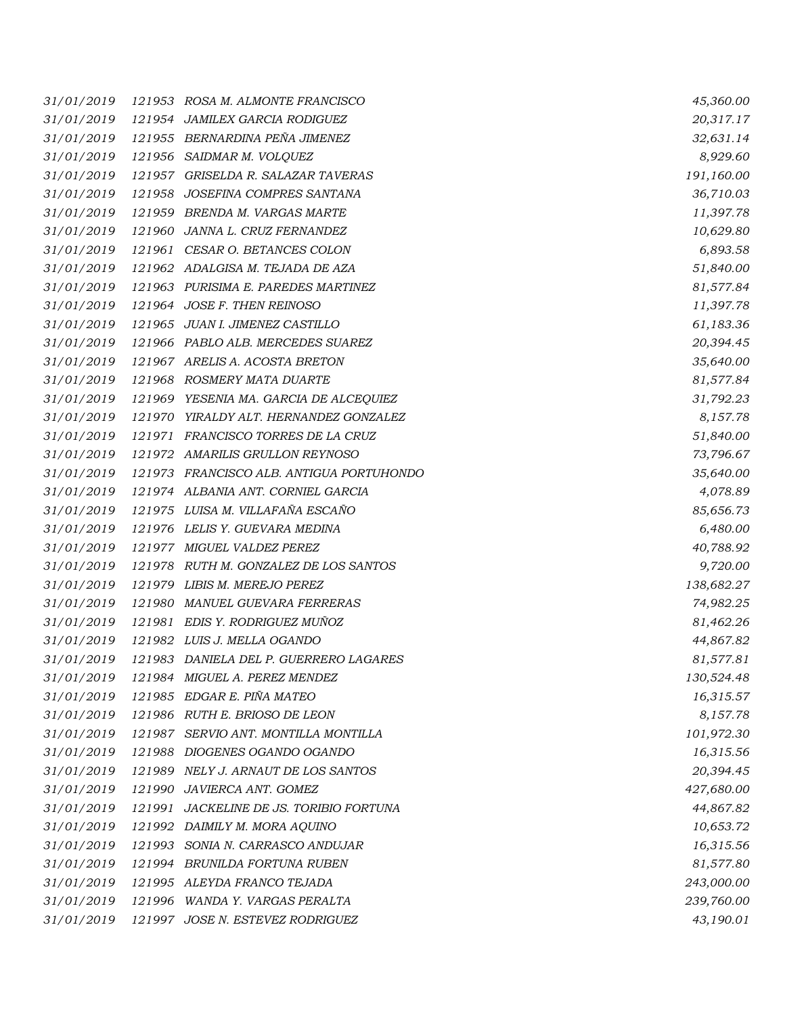| 31/01/2019 |        | 121953 ROSA M. ALMONTE FRANCISCO         | 45,360.00  |
|------------|--------|------------------------------------------|------------|
| 31/01/2019 |        | 121954 JAMILEX GARCIA RODIGUEZ           | 20,317.17  |
| 31/01/2019 |        | 121955 BERNARDINA PEÑA JIMENEZ           | 32,631.14  |
| 31/01/2019 |        | 121956 SAIDMAR M. VOLQUEZ                | 8,929.60   |
| 31/01/2019 |        | 121957 GRISELDA R. SALAZAR TAVERAS       | 191,160.00 |
| 31/01/2019 |        | 121958 JOSEFINA COMPRES SANTANA          | 36,710.03  |
| 31/01/2019 |        | 121959 BRENDA M. VARGAS MARTE            | 11,397.78  |
| 31/01/2019 |        | 121960 JANNA L. CRUZ FERNANDEZ           | 10,629.80  |
| 31/01/2019 |        | 121961 CESAR O. BETANCES COLON           | 6,893.58   |
| 31/01/2019 |        | 121962 ADALGISA M. TEJADA DE AZA         | 51,840.00  |
| 31/01/2019 |        | 121963 PURISIMA E. PAREDES MARTINEZ      | 81,577.84  |
| 31/01/2019 |        | 121964 JOSE F. THEN REINOSO              | 11,397.78  |
| 31/01/2019 |        | 121965 JUAN I. JIMENEZ CASTILLO          | 61,183.36  |
| 31/01/2019 |        | 121966 PABLO ALB. MERCEDES SUAREZ        | 20,394.45  |
| 31/01/2019 |        | 121967 ARELIS A. ACOSTA BRETON           | 35,640.00  |
| 31/01/2019 |        | 121968 ROSMERY MATA DUARTE               | 81,577.84  |
| 31/01/2019 |        | 121969 YESENIA MA. GARCIA DE ALCEQUIEZ   | 31,792.23  |
| 31/01/2019 |        | 121970 YIRALDY ALT. HERNANDEZ GONZALEZ   | 8,157.78   |
| 31/01/2019 |        | 121971 FRANCISCO TORRES DE LA CRUZ       | 51,840.00  |
| 31/01/2019 |        | 121972 AMARILIS GRULLON REYNOSO          | 73,796.67  |
| 31/01/2019 |        | 121973 FRANCISCO ALB. ANTIGUA PORTUHONDO | 35,640.00  |
| 31/01/2019 |        | 121974 ALBANIA ANT. CORNIEL GARCIA       | 4,078.89   |
| 31/01/2019 |        | 121975 LUISA M. VILLAFAÑA ESCAÑO         | 85,656.73  |
| 31/01/2019 |        | 121976 LELIS Y. GUEVARA MEDINA           | 6,480.00   |
| 31/01/2019 |        | 121977 MIGUEL VALDEZ PEREZ               | 40,788.92  |
| 31/01/2019 |        | 121978 RUTH M. GONZALEZ DE LOS SANTOS    | 9,720.00   |
| 31/01/2019 |        | 121979 LIBIS M. MEREJO PEREZ             | 138,682.27 |
| 31/01/2019 |        | 121980 MANUEL GUEVARA FERRERAS           | 74,982.25  |
| 31/01/2019 |        | 121981 EDIS Y. RODRIGUEZ MUÑOZ           | 81,462.26  |
| 31/01/2019 |        | 121982 LUIS J. MELLA OGANDO              | 44,867.82  |
| 31/01/2019 |        | 121983 DANIELA DEL P. GUERRERO LAGARES   | 81,577.81  |
| 31/01/2019 |        | 121984 MIGUEL A. PEREZ MENDEZ            | 130,524.48 |
| 31/01/2019 |        | 121985 EDGAR E. PIÑA MATEO               | 16,315.57  |
| 31/01/2019 |        | 121986 RUTH E. BRIOSO DE LEON            | 8,157.78   |
| 31/01/2019 |        | 121987 SERVIO ANT. MONTILLA MONTILLA     | 101,972.30 |
| 31/01/2019 | 121988 | DIOGENES OGANDO OGANDO                   | 16,315.56  |
| 31/01/2019 |        | 121989 NELY J. ARNAUT DE LOS SANTOS      | 20,394.45  |
| 31/01/2019 | 121990 | JAVIERCA ANT. GOMEZ                      | 427,680.00 |
| 31/01/2019 |        | 121991 JACKELINE DE JS. TORIBIO FORTUNA  | 44,867.82  |
| 31/01/2019 |        | 121992 DAIMILY M. MORA AQUINO            | 10,653.72  |
| 31/01/2019 |        | 121993 SONIA N. CARRASCO ANDUJAR         | 16,315.56  |
| 31/01/2019 |        | 121994 BRUNILDA FORTUNA RUBEN            | 81,577.80  |
| 31/01/2019 |        | 121995 ALEYDA FRANCO TEJADA              | 243,000.00 |
| 31/01/2019 |        | 121996 WANDA Y. VARGAS PERALTA           | 239,760.00 |
| 31/01/2019 |        | 121997 JOSE N. ESTEVEZ RODRIGUEZ         | 43,190.01  |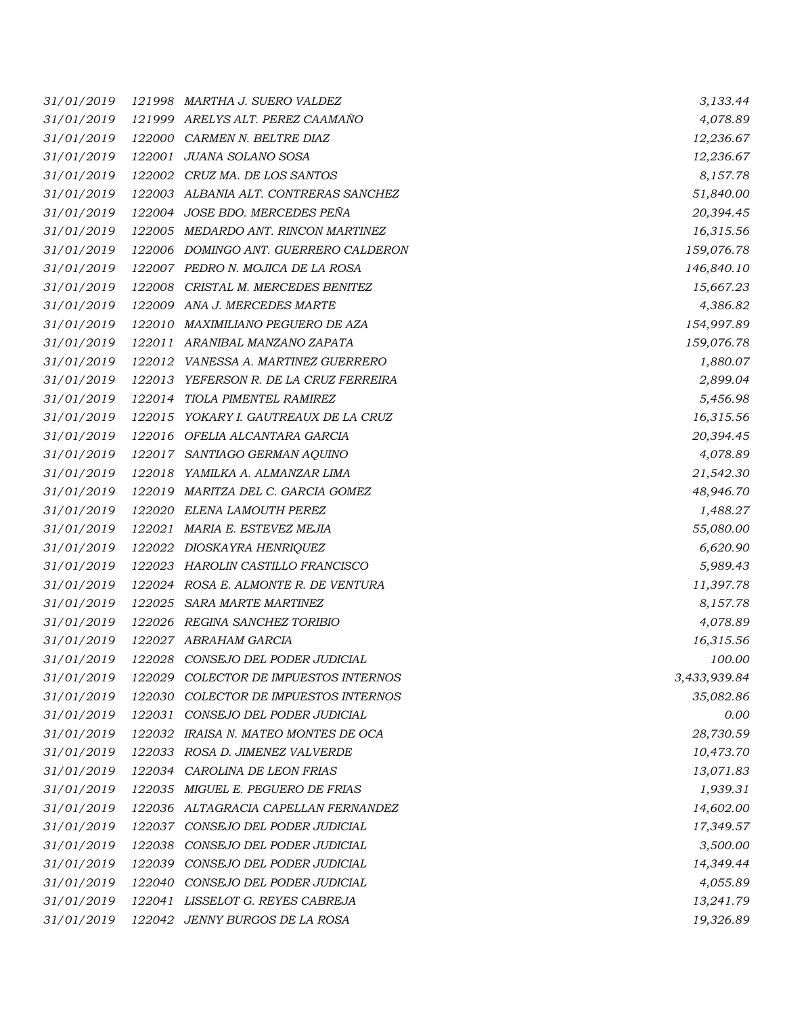| 31/01/2019 |        | 121998 MARTHA J. SUERO VALDEZ         | 3,133.44     |
|------------|--------|---------------------------------------|--------------|
| 31/01/2019 |        | 121999 ARELYS ALT. PEREZ CAAMAÑO      | 4,078.89     |
| 31/01/2019 |        | 122000 CARMEN N. BELTRE DIAZ          | 12,236.67    |
| 31/01/2019 | 122001 | JUANA SOLANO SOSA                     | 12,236.67    |
| 31/01/2019 |        | 122002 CRUZ MA. DE LOS SANTOS         | 8,157.78     |
| 31/01/2019 |        | 122003 ALBANIA ALT. CONTRERAS SANCHEZ | 51,840.00    |
| 31/01/2019 |        | 122004 JOSE BDO. MERCEDES PEÑA        | 20,394.45    |
| 31/01/2019 |        | 122005 MEDARDO ANT. RINCON MARTINEZ   | 16,315.56    |
| 31/01/2019 |        | 122006 DOMINGO ANT. GUERRERO CALDERON | 159,076.78   |
| 31/01/2019 |        | 122007 PEDRO N. MOJICA DE LA ROSA     | 146,840.10   |
| 31/01/2019 |        | 122008 CRISTAL M. MERCEDES BENITEZ    | 15,667.23    |
| 31/01/2019 |        | 122009 ANA J. MERCEDES MARTE          | 4,386.82     |
| 31/01/2019 |        | 122010 MAXIMILIANO PEGUERO DE AZA     | 154,997.89   |
| 31/01/2019 |        | 122011 ARANIBAL MANZANO ZAPATA        | 159,076.78   |
| 31/01/2019 |        | 122012 VANESSA A. MARTINEZ GUERRERO   | 1,880.07     |
| 31/01/2019 | 122013 | YEFERSON R. DE LA CRUZ FERREIRA       | 2,899.04     |
| 31/01/2019 |        | 122014 TIOLA PIMENTEL RAMIREZ         | 5,456.98     |
| 31/01/2019 |        | 122015 YOKARY I. GAUTREAUX DE LA CRUZ | 16,315.56    |
| 31/01/2019 |        | 122016 OFELIA ALCANTARA GARCIA        | 20,394.45    |
| 31/01/2019 |        | 122017 SANTIAGO GERMAN AQUINO         | 4,078.89     |
| 31/01/2019 |        | 122018 YAMILKA A. ALMANZAR LIMA       | 21,542.30    |
| 31/01/2019 |        | 122019 MARITZA DEL C. GARCIA GOMEZ    | 48,946.70    |
| 31/01/2019 | 122020 | ELENA LAMOUTH PEREZ                   | 1,488.27     |
| 31/01/2019 |        | 122021 MARIA E. ESTEVEZ MEJIA         | 55,080.00    |
| 31/01/2019 |        | 122022 DIOSKAYRA HENRIQUEZ            | 6,620.90     |
| 31/01/2019 |        | 122023 HAROLIN CASTILLO FRANCISCO     | 5,989.43     |
| 31/01/2019 |        | 122024 ROSA E. ALMONTE R. DE VENTURA  | 11,397.78    |
| 31/01/2019 |        | 122025 SARA MARTE MARTINEZ            | 8,157.78     |
| 31/01/2019 |        | 122026 REGINA SANCHEZ TORIBIO         | 4,078.89     |
| 31/01/2019 |        | 122027 ABRAHAM GARCIA                 | 16,315.56    |
| 31/01/2019 |        | 122028 CONSEJO DEL PODER JUDICIAL     | 100.00       |
| 31/01/2019 | 122029 | <b>COLECTOR DE IMPUESTOS INTERNOS</b> | 3,433,939.84 |
| 31/01/2019 | 122030 | COLECTOR DE IMPUESTOS INTERNOS        | 35,082.86    |
| 31/01/2019 | 122031 | CONSEJO DEL PODER JUDICIAL            | 0.00         |
| 31/01/2019 | 122032 | IRAISA N. MATEO MONTES DE OCA         | 28,730.59    |
| 31/01/2019 |        | 122033 ROSA D. JIMENEZ VALVERDE       | 10,473.70    |
| 31/01/2019 | 122034 | CAROLINA DE LEON FRIAS                | 13,071.83    |
| 31/01/2019 |        | 122035 MIGUEL E. PEGUERO DE FRIAS     | 1,939.31     |
| 31/01/2019 |        | 122036 ALTAGRACIA CAPELLAN FERNANDEZ  | 14,602.00    |
| 31/01/2019 |        | 122037 CONSEJO DEL PODER JUDICIAL     | 17,349.57    |
| 31/01/2019 | 122038 | CONSEJO DEL PODER JUDICIAL            | 3,500.00     |
| 31/01/2019 | 122039 | CONSEJO DEL PODER JUDICIAL            | 14,349.44    |
| 31/01/2019 | 122040 | CONSEJO DEL PODER JUDICIAL            | 4,055.89     |
| 31/01/2019 |        | 122041 LISSELOT G. REYES CABREJA      | 13,241.79    |
| 31/01/2019 |        | 122042 JENNY BURGOS DE LA ROSA        | 19,326.89    |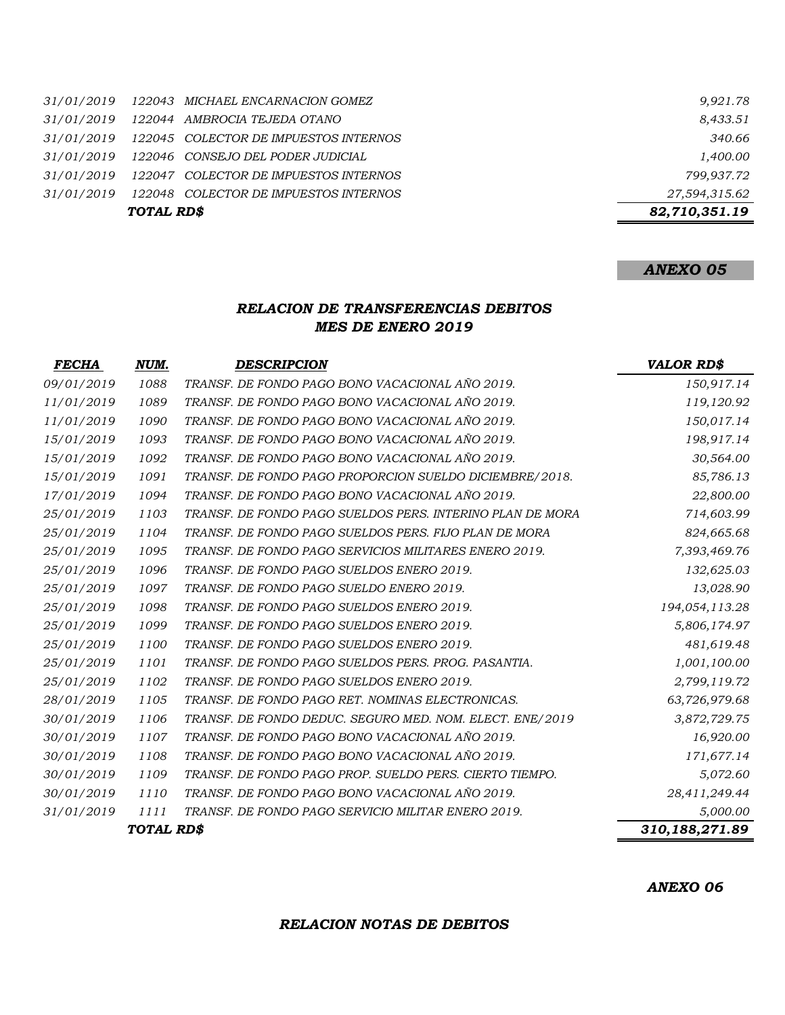|            | TOTAL RD\$                                       | 82,710,351.19 |
|------------|--------------------------------------------------|---------------|
| 31/01/2019 | 122048 COLECTOR DE IMPUESTOS INTERNOS            | 27,594,315.62 |
| 31/01/2019 | 122047 COLECTOR DE IMPUESTOS INTERNOS            | 799,937.72    |
| 31/01/2019 | 122046   CONSEJO DEL PODER JUDICIAL              | 1,400.00      |
|            | 31/01/2019 122045 COLECTOR DE IMPUESTOS INTERNOS | 340.66        |
| 31/01/2019 | 122044 AMBROCIA TEJEDA OTANO                     | 8,433.51      |
|            | 31/01/2019 122043 MICHAEL ENCARNACION GOMEZ      | 9,921.78      |
|            |                                                  |               |

## *ANEXO 05*

### *RELACION DE TRANSFERENCIAS DEBITOS MES DE ENERO 2019*

| <b>FECHA</b> | NUM. | <b>DESCRIPCION</b>                                        | <b>VALOR RD\$</b> |
|--------------|------|-----------------------------------------------------------|-------------------|
| 09/01/2019   | 1088 | TRANSF. DE FONDO PAGO BONO VACACIONAL AÑO 2019.           | 150,917.14        |
| 11/01/2019   | 1089 | TRANSF. DE FONDO PAGO BONO VACACIONAL AÑO 2019.           | 119,120.92        |
| 11/01/2019   | 1090 | TRANSF. DE FONDO PAGO BONO VACACIONAL AÑO 2019.           | 150,017.14        |
| 15/01/2019   | 1093 | TRANSF. DE FONDO PAGO BONO VACACIONAL AÑO 2019.           | 198,917.14        |
| 15/01/2019   | 1092 | TRANSF. DE FONDO PAGO BONO VACACIONAL AÑO 2019.           | 30,564.00         |
| 15/01/2019   | 1091 | TRANSF. DE FONDO PAGO PROPORCION SUELDO DICIEMBRE/2018.   | 85,786.13         |
| 17/01/2019   | 1094 | TRANSF. DE FONDO PAGO BONO VACACIONAL AÑO 2019.           | 22,800.00         |
| 25/01/2019   | 1103 | TRANSF. DE FONDO PAGO SUELDOS PERS. INTERINO PLAN DE MORA | 714,603.99        |
| 25/01/2019   | 1104 | TRANSF. DE FONDO PAGO SUELDOS PERS. FIJO PLAN DE MORA     | 824,665.68        |
| 25/01/2019   | 1095 | TRANSF. DE FONDO PAGO SERVICIOS MILITARES ENERO 2019.     | 7,393,469.76      |
| 25/01/2019   | 1096 | TRANSF. DE FONDO PAGO SUELDOS ENERO 2019.                 | 132,625.03        |
| 25/01/2019   | 1097 | TRANSF. DE FONDO PAGO SUELDO ENERO 2019.                  | 13,028.90         |
| 25/01/2019   | 1098 | TRANSF. DE FONDO PAGO SUELDOS ENERO 2019.                 | 194,054,113.28    |
| 25/01/2019   | 1099 | TRANSF. DE FONDO PAGO SUELDOS ENERO 2019.                 | 5,806,174.97      |
| 25/01/2019   | 1100 | TRANSF. DE FONDO PAGO SUELDOS ENERO 2019.                 | 481,619.48        |
| 25/01/2019   | 1101 | TRANSF. DE FONDO PAGO SUELDOS PERS. PROG. PASANTIA.       | 1,001,100.00      |
| 25/01/2019   | 1102 | TRANSF. DE FONDO PAGO SUELDOS ENERO 2019.                 | 2,799,119.72      |
| 28/01/2019   | 1105 | TRANSF. DE FONDO PAGO RET. NOMINAS ELECTRONICAS.          | 63,726,979.68     |
| 30/01/2019   | 1106 | TRANSF. DE FONDO DEDUC. SEGURO MED. NOM. ELECT. ENE/2019  | 3,872,729.75      |
| 30/01/2019   | 1107 | TRANSF. DE FONDO PAGO BONO VACACIONAL AÑO 2019.           | 16,920.00         |
| 30/01/2019   | 1108 | TRANSF. DE FONDO PAGO BONO VACACIONAL AÑO 2019.           | 171,677.14        |
| 30/01/2019   | 1109 | TRANSF. DE FONDO PAGO PROP. SUELDO PERS. CIERTO TIEMPO.   | 5,072.60          |
| 30/01/2019   | 1110 | TRANSF. DE FONDO PAGO BONO VACACIONAL AÑO 2019.           | 28,411,249.44     |
| 31/01/2019   | 1111 | TRANSF. DE FONDO PAGO SERVICIO MILITAR ENERO 2019.        | 5,000.00          |
| TOTAL RD\$   |      | 310,188,271.89                                            |                   |

*ANEXO 06*

#### *RELACION NOTAS DE DEBITOS*